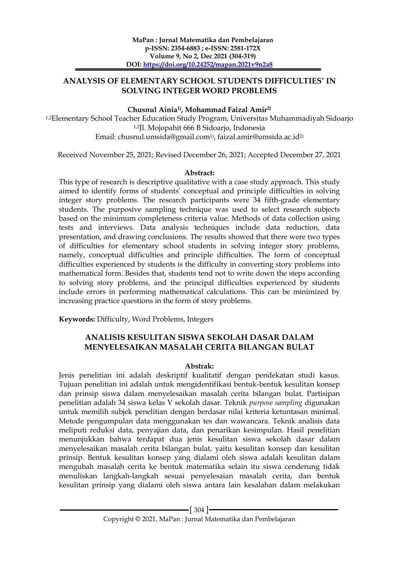# **ANALYSIS OF ELEMENTARY SCHOOL STUDENTS DIFFICULTIES' IN SOLVING INTEGER WORD PROBLEMS**

## **Chusnul Ainia1) , Mohammad Faizal Amir2)**

1,2Elementary School Teacher Education Study Program, Universitas Muhammadiyah Sidoarjo 1,2Jl. Mojopahit 666 B Sidoarjo, Indonesia Email: chusnul.umsida@gmail.com1) , faizal.amir@umsida.ac.id2)

Received November 25, 2021; Revised December 26, 2021; Accepted December 27, 2021

### **Abstract:**

This type of research is descriptive qualitative with a case study approach. This study aimed to identify forms of students' conceptual and principle difficulties in solving integer story problems. The research participants were 34 fifth-grade elementary students. The purposive sampling technique was used to select research subjects based on the minimum completeness criteria value. Methods of data collection using tests and interviews. Data analysis techniques include data reduction, data presentation, and drawing conclusions. The results showed that there were two types of difficulties for elementary school students in solving integer story problems, namely, conceptual difficulties and principle difficulties. The form of conceptual difficulties experienced by students is the difficulty in converting story problems into mathematical form. Besides that, students tend not to write down the steps according to solving story problems, and the principal difficulties experienced by students include errors in performing mathematical calculations. This can be minimized by increasing practice questions in the form of story problems.

**Keywords:** Difficulty, Word Problems, Integers

# **ANALISIS KESULITAN SISWA SEKOLAH DASAR DALAM MENYELESAIKAN MASALAH CERITA BILANGAN BULAT**

## **Abstrak:**

Jenis penelitian ini adalah deskriptif kualitatif dengan pendekatan studi kasus. Tujuan penelitian ini adalah untuk mengidentifikasi bentuk-bentuk kesulitan konsep dan prinsip siswa dalam menyelesaikan masalah cerita bilangan bulat. Partisipan penelitian adalah 34 siswa kelas V sekolah dasar. Teknik *purpose sampling* digunakan untuk memilih subjek penelitian dengan berdasar nilai kriteria ketuntasan minimal. Metode pengumpulan data menggunakan tes dan wawancara. Teknik analisis data meliputi reduksi data, penyajian data, dan penarikan kesimpulan. Hasil penelitian menunjukkan bahwa terdapat dua jenis kesulitan siswa sekolah dasar dalam menyelesaikan masalah cerita bilangan bulat, yaitu kesulitan konsep dan kesulitan prinsip. Bentuk kesulitan konsep yang dialami oleh siswa adalah kesulitan dalam mengubah masalah cerita ke bentuk matematika selain itu siswa cenderung tidak menuliskan langkah-langkah sesuai penyelesaian masalah cerita, dan bentuk kesulitan prinsip yang dialami oleh siswa antara lain kesalahan dalam melakukan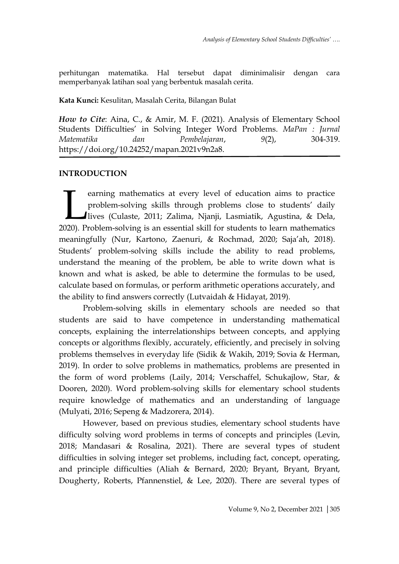perhitungan matematika. Hal tersebut dapat diminimalisir dengan cara memperbanyak latihan soal yang berbentuk masalah cerita.

### **Kata Kunci:** Kesulitan, Masalah Cerita, Bilangan Bulat

*How to Cite*: Aina, C., & Amir, M. F. (2021). Analysis of Elementary School Students Difficulties' in Solving Integer Word Problems. *MaPan : Jurnal Matematika dan Pembelajaran*, *9*(2), 304-319. https://doi.org/10.24252/mapan.2021v9n2a8.

# **INTRODUCTION**

earning mathematics at every level of education aims to practice problem-solving skills through problems close to students' daily lives (Culaste, 2011; Zalima, Njanji, Lasmiatik, Agustina, & Dela, earning mathematics at every level of education aims to practice problem-solving skills through problems close to students' daily lives (Culaste, 2011; Zalima, Njanji, Lasmiatik, Agustina, & Dela, 2020). Problem-solving is meaningfully (Nur, Kartono, Zaenuri, & Rochmad, 2020; Saja'ah, 2018). Students' problem-solving skills include the ability to read problems, understand the meaning of the problem, be able to write down what is known and what is asked, be able to determine the formulas to be used, calculate based on formulas, or perform arithmetic operations accurately, and the ability to find answers correctly (Lutvaidah & Hidayat, 2019).

Problem-solving skills in elementary schools are needed so that students are said to have competence in understanding mathematical concepts, explaining the interrelationships between concepts, and applying concepts or algorithms flexibly, accurately, efficiently, and precisely in solving problems themselves in everyday life (Sidik & Wakih, 2019; Sovia & Herman, 2019). In order to solve problems in mathematics, problems are presented in the form of word problems (Laily, 2014; Verschaffel, Schukajlow, Star, & Dooren, 2020). Word problem-solving skills for elementary school students require knowledge of mathematics and an understanding of language (Mulyati, 2016; Sepeng & Madzorera, 2014).

However, based on previous studies, elementary school students have difficulty solving word problems in terms of concepts and principles (Levin, 2018; Mandasari & Rosalina, 2021). There are several types of student difficulties in solving integer set problems, including fact, concept, operating, and principle difficulties (Aliah & Bernard, 2020; Bryant, Bryant, Bryant, Dougherty, Roberts, Pfannenstiel, & Lee, 2020). There are several types of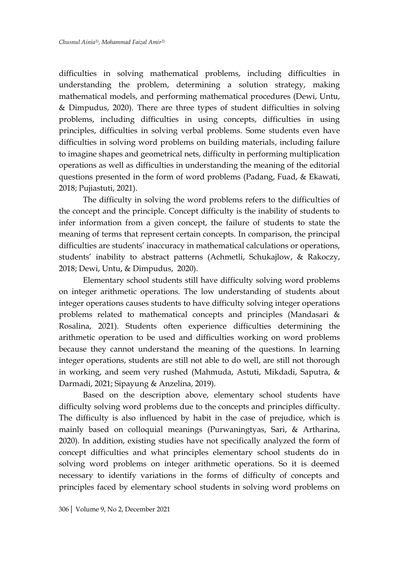difficulties in solving mathematical problems, including difficulties in understanding the problem, determining a solution strategy, making mathematical models, and performing mathematical procedures (Dewi, Untu, & Dimpudus, 2020). There are three types of student difficulties in solving problems, including difficulties in using concepts, difficulties in using principles, difficulties in solving verbal problems. Some students even have difficulties in solving word problems on building materials, including failure to imagine shapes and geometrical nets, difficulty in performing multiplication operations as well as difficulties in understanding the meaning of the editorial questions presented in the form of word problems (Padang, Fuad, & Ekawati, 2018; Pujiastuti, 2021).

The difficulty in solving the word problems refers to the difficulties of the concept and the principle. Concept difficulty is the inability of students to infer information from a given concept, the failure of students to state the meaning of terms that represent certain concepts. In comparison, the principal difficulties are students' inaccuracy in mathematical calculations or operations, students' inability to abstract patterns (Achmetli, Schukajlow, & Rakoczy, 2018; Dewi, Untu, & Dimpudus, 2020).

Elementary school students still have difficulty solving word problems on integer arithmetic operations. The low understanding of students about integer operations causes students to have difficulty solving integer operations problems related to mathematical concepts and principles (Mandasari & Rosalina, 2021). Students often experience difficulties determining the arithmetic operation to be used and difficulties working on word problems because they cannot understand the meaning of the questions. In learning integer operations, students are still not able to do well, are still not thorough in working, and seem very rushed (Mahmuda, Astuti, Mikdadi, Saputra, & Darmadi, 2021; Sipayung & Anzelina, 2019).

Based on the description above, elementary school students have difficulty solving word problems due to the concepts and principles difficulty. The difficulty is also influenced by habit in the case of prejudice, which is mainly based on colloquial meanings (Purwaningtyas, Sari, & Artharina, 2020). In addition, existing studies have not specifically analyzed the form of concept difficulties and what principles elementary school students do in solving word problems on integer arithmetic operations. So it is deemed necessary to identify variations in the forms of difficulty of concepts and principles faced by elementary school students in solving word problems on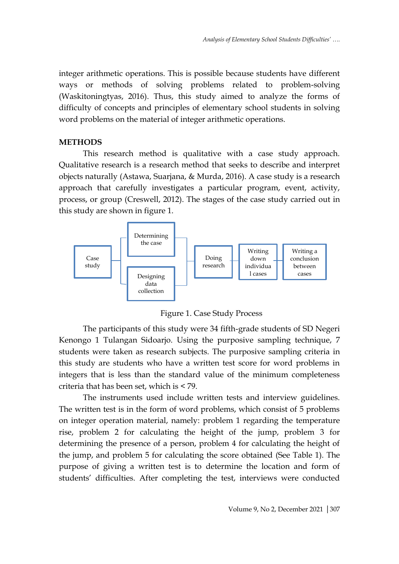integer arithmetic operations. This is possible because students have different ways or methods of solving problems related to problem-solving (Waskitoningtyas, 2016). Thus, this study aimed to analyze the forms of difficulty of concepts and principles of elementary school students in solving word problems on the material of integer arithmetic operations.

### **METHODS**

This research method is qualitative with a case study approach. Qualitative research is a research method that seeks to describe and interpret objects naturally (Astawa, Suarjana, & Murda, 2016). A case study is a research approach that carefully investigates a particular program, event, activity, process, or group (Creswell, 2012). The stages of the case study carried out in this study are shown in figure 1.



Figure 1. Case Study Process

The participants of this study were 34 fifth-grade students of SD Negeri Kenongo 1 Tulangan Sidoarjo. Using the purposive sampling technique, 7 students were taken as research subjects. The purposive sampling criteria in this study are students who have a written test score for word problems in integers that is less than the standard value of the minimum completeness criteria that has been set, which is < 79.

The instruments used include written tests and interview guidelines. The written test is in the form of word problems, which consist of 5 problems on integer operation material, namely: problem 1 regarding the temperature rise, problem 2 for calculating the height of the jump, problem 3 for determining the presence of a person, problem 4 for calculating the height of the jump, and problem 5 for calculating the score obtained (See Table 1). The purpose of giving a written test is to determine the location and form of students' difficulties. After completing the test, interviews were conducted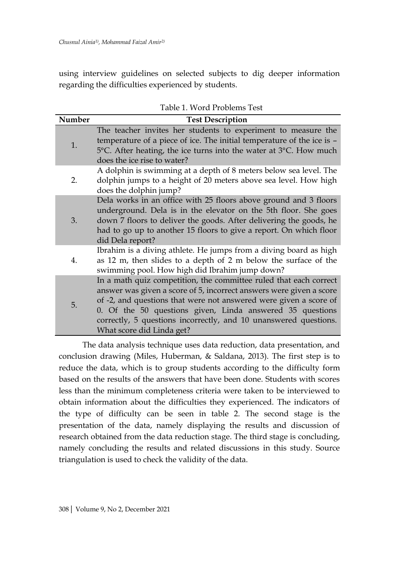using interview guidelines on selected subjects to dig deeper information regarding the difficulties experienced by students.

| Number | <b>Test Description</b>                                                                                                                                                                                                                                                                                                                                                     |  |  |  |
|--------|-----------------------------------------------------------------------------------------------------------------------------------------------------------------------------------------------------------------------------------------------------------------------------------------------------------------------------------------------------------------------------|--|--|--|
| 1.     | The teacher invites her students to experiment to measure the<br>temperature of a piece of ice. The initial temperature of the ice is -<br>5°C. After heating, the ice turns into the water at 3°C. How much<br>does the ice rise to water?                                                                                                                                 |  |  |  |
| 2.     | A dolphin is swimming at a depth of 8 meters below sea level. The<br>dolphin jumps to a height of 20 meters above sea level. How high<br>does the dolphin jump?                                                                                                                                                                                                             |  |  |  |
| 3.     | Dela works in an office with 25 floors above ground and 3 floors<br>underground. Dela is in the elevator on the 5th floor. She goes<br>down 7 floors to deliver the goods. After delivering the goods, he<br>had to go up to another 15 floors to give a report. On which floor<br>did Dela report?                                                                         |  |  |  |
| 4.     | Ibrahim is a diving athlete. He jumps from a diving board as high<br>as 12 m, then slides to a depth of 2 m below the surface of the<br>swimming pool. How high did Ibrahim jump down?                                                                                                                                                                                      |  |  |  |
| 5.     | In a math quiz competition, the committee ruled that each correct<br>answer was given a score of 5, incorrect answers were given a score<br>of -2, and questions that were not answered were given a score of<br>0. Of the 50 questions given, Linda answered 35 questions<br>correctly, 5 questions incorrectly, and 10 unanswered questions.<br>What score did Linda get? |  |  |  |

Table 1. Word Problems Test

The data analysis technique uses data reduction, data presentation, and conclusion drawing (Miles, Huberman, & Saldana, 2013). The first step is to reduce the data, which is to group students according to the difficulty form based on the results of the answers that have been done. Students with scores less than the minimum completeness criteria were taken to be interviewed to obtain information about the difficulties they experienced. The indicators of the type of difficulty can be seen in table 2. The second stage is the presentation of the data, namely displaying the results and discussion of research obtained from the data reduction stage. The third stage is concluding, namely concluding the results and related discussions in this study. Source triangulation is used to check the validity of the data.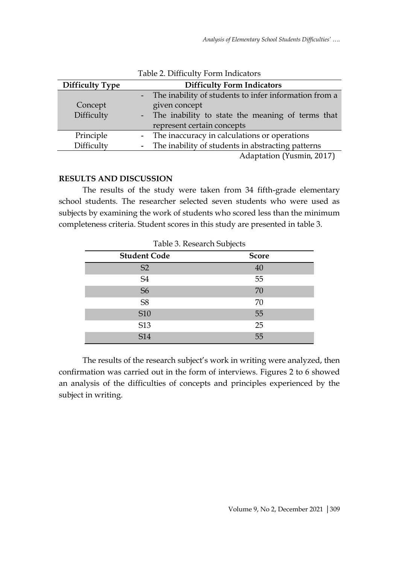| <b>Difficulty Type</b> | <b>Difficulty Form Indicators</b> |                                                       |  |
|------------------------|-----------------------------------|-------------------------------------------------------|--|
|                        |                                   | The inability of students to infer information from a |  |
| Concept                |                                   | given concept                                         |  |
| Difficulty             |                                   | - The inability to state the meaning of terms that    |  |
|                        |                                   | represent certain concepts                            |  |
| Principle              |                                   | - The inaccuracy in calculations or operations        |  |
| Difficulty             |                                   | - The inability of students in abstracting patterns   |  |
|                        |                                   | Adaptation (Yusmin, 2017)                             |  |

Table 2. Difficulty Form Indicators

## **RESULTS AND DISCUSSION**

The results of the study were taken from 34 fifth-grade elementary school students. The researcher selected seven students who were used as subjects by examining the work of students who scored less than the minimum completeness criteria. Student scores in this study are presented in table 3.

| Table 3. Research Subjects |              |  |  |  |
|----------------------------|--------------|--|--|--|
| <b>Student Code</b>        | <b>Score</b> |  |  |  |
| S <sub>2</sub>             | 40           |  |  |  |
| S <sub>4</sub>             | 55           |  |  |  |
| S <sub>6</sub>             | 70           |  |  |  |
| S <sub>8</sub>             | 70           |  |  |  |
| <b>S10</b>                 | 55           |  |  |  |
| S13                        | 25           |  |  |  |
| <b>S14</b>                 | 55           |  |  |  |

The results of the research subject's work in writing were analyzed, then confirmation was carried out in the form of interviews. Figures 2 to 6 showed an analysis of the difficulties of concepts and principles experienced by the subject in writing.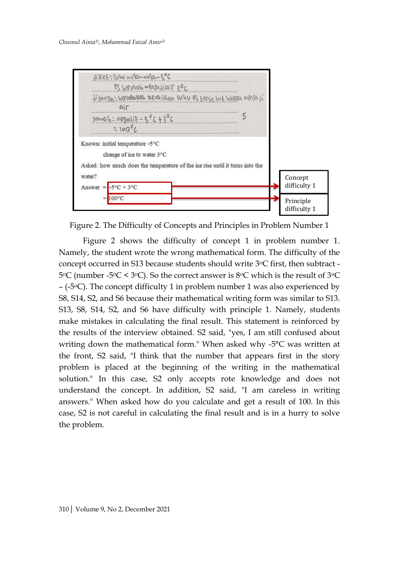

Figure 2. The Difficulty of Concepts and Principles in Problem Number 1

Figure 2 shows the difficulty of concept 1 in problem number 1. Namely, the student wrote the wrong mathematical form. The difficulty of the concept occurred in S13 because students should write 3oC first, then subtract - 5oC (number -5oC < 3oC). So the correct answer is 8oC which is the result of 3oC  $-$  (-5 $\degree$ C). The concept difficulty 1 in problem number 1 was also experienced by S8, S14, S2, and S6 because their mathematical writing form was similar to S13. S13, S8, S14, S2, and S6 have difficulty with principle 1. Namely, students make mistakes in calculating the final result. This statement is reinforced by the results of the interview obtained. S2 said, "yes, I am still confused about writing down the mathematical form." When asked why -5°C was written at the front, S2 said, "I think that the number that appears first in the story problem is placed at the beginning of the writing in the mathematical solution." In this case, S2 only accepts rote knowledge and does not understand the concept. In addition, S2 said, "I am careless in writing answers." When asked how do you calculate and get a result of 100. In this case, S2 is not careful in calculating the final result and is in a hurry to solve the problem.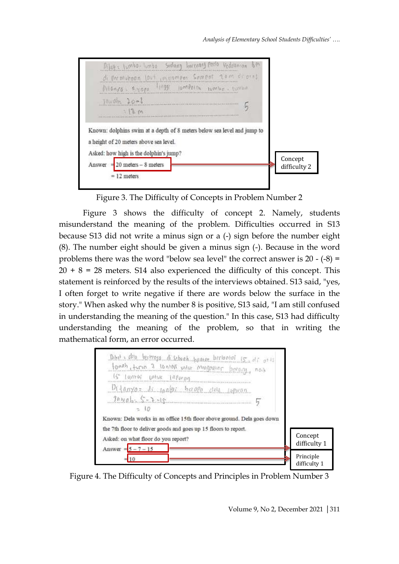| like : lumbo- konse Sedany berenny pado Vedelonian &?<br>di premokoan laut impompos Sempor rom dedust<br>Pilance. Eyope 11991 loropolon worke. write |                         |
|------------------------------------------------------------------------------------------------------------------------------------------------------|-------------------------|
| $10 \times 0 = 20 - 6$<br>1200<br>Known: dolphins swim at a depth of 8 meters below sea level and jump to<br>a height of 20 meters above sea level.  |                         |
| Asked: how high is the dolphin's jump?<br>$20$ meters $-8$ meters<br>Answer $=$<br>$= 12$ meters                                                     | Concept<br>difficulty 2 |

Figure 3. The Difficulty of Concepts in Problem Number 2

Figure 3 shows the difficulty of concept 2. Namely, students misunderstand the meaning of the problem. Difficulties occurred in S13 because S13 did not write a minus sign or a (-) sign before the number eight (8). The number eight should be given a minus sign (-). Because in the word problems there was the word "below sea level" the correct answer is  $20 - (-8) =$  $20 + 8 = 28$  meters. S14 also experienced the difficulty of this concept. This statement is reinforced by the results of the interviews obtained. S13 said, "yes, I often forget to write negative if there are words below the surface in the story." When asked why the number 8 is positive, S13 said, "I am still confused in understanding the meaning of the question." In this case, S13 had difficulty understanding the meaning of the problem, so that in writing the mathematical form, an error occurred.



Figure 4. The Difficulty of Concepts and Principles in Problem Number 3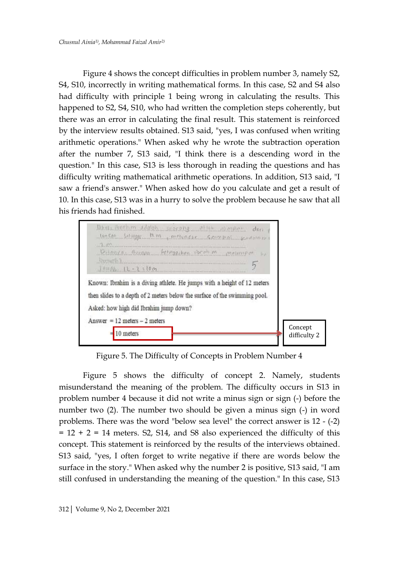Figure 4 shows the concept difficulties in problem number 3, namely S2, S4, S10, incorrectly in writing mathematical forms. In this case, S2 and S4 also had difficulty with principle 1 being wrong in calculating the results. This happened to S2, S4, S10, who had written the completion steps coherently, but there was an error in calculating the final result. This statement is reinforced by the interview results obtained. S13 said, "yes, I was confused when writing arithmetic operations." When asked why he wrote the subtraction operation after the number 7, S13 said, "I think there is a descending word in the question." In this case, S13 is less thorough in reading the questions and has difficulty writing mathematical arithmetic operations. In addition, S13 said, "I saw a friend's answer." When asked how do you calculate and get a result of 10. In this case, S13 was in a hurry to solve the problem because he saw that all his friends had finished.



Figure 5. The Difficulty of Concepts in Problem Number 4

Figure 5 shows the difficulty of concept 2. Namely, students misunderstand the meaning of the problem. The difficulty occurs in S13 in problem number 4 because it did not write a minus sign or sign (-) before the number two (2). The number two should be given a minus sign (-) in word problems. There was the word "below sea level" the correct answer is 12 - (-2)  $= 12 + 2 = 14$  meters. S2, S14, and S8 also experienced the difficulty of this concept. This statement is reinforced by the results of the interviews obtained. S13 said, "yes, I often forget to write negative if there are words below the surface in the story." When asked why the number 2 is positive, S13 said, "I am still confused in understanding the meaning of the question." In this case, S13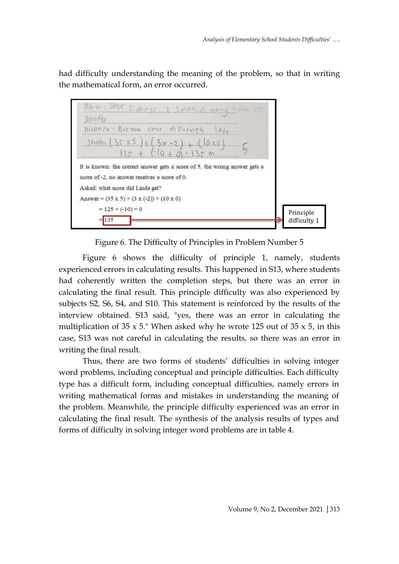had difficulty understanding the meaning of the problem, so that in writing the mathematical form, an error occurred.



Figure 6. The Difficulty of Principles in Problem Number 5

Figure 6 shows the difficulty of principle 1, namely, students experienced errors in calculating results. This happened in S13, where students had coherently written the completion steps, but there was an error in calculating the final result. This principle difficulty was also experienced by subjects S2, S6, S4, and S10. This statement is reinforced by the results of the interview obtained. S13 said, "yes, there was an error in calculating the multiplication of 35  $\times$  5." When asked why he wrote 125 out of 35  $\times$  5, in this case, S13 was not careful in calculating the results, so there was an error in writing the final result.

Thus, there are two forms of students' difficulties in solving integer word problems, including conceptual and principle difficulties. Each difficulty type has a difficult form, including conceptual difficulties, namely errors in writing mathematical forms and mistakes in understanding the meaning of the problem. Meanwhile, the principle difficulty experienced was an error in calculating the final result. The synthesis of the analysis results of types and forms of difficulty in solving integer word problems are in table 4.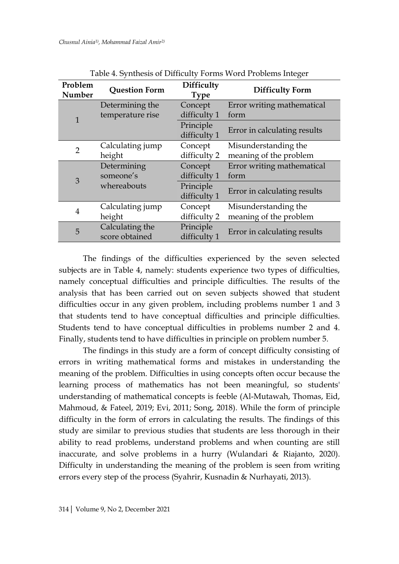| Problem<br>Number | <b>Question Form</b>                | Difficulty<br><b>Type</b> | <b>Difficulty Form</b>             |
|-------------------|-------------------------------------|---------------------------|------------------------------------|
| 1                 | Determining the<br>temperature rise | Concept<br>difficulty 1   | Error writing mathematical<br>form |
|                   |                                     | Principle<br>difficulty 1 | Error in calculating results       |
| $\overline{2}$    | Calculating jump                    | Concept                   | Misunderstanding the               |
|                   | height                              | difficulty 2              | meaning of the problem             |
| 3                 | Determining                         | Concept                   | Error writing mathematical         |
|                   | someone's                           | difficulty 1              | form                               |
|                   | whereabouts                         | Principle                 |                                    |
|                   |                                     | difficulty 1              | Error in calculating results       |
| $\overline{4}$    | Calculating jump                    | Concept                   | Misunderstanding the               |
|                   | height                              | difficulty 2              | meaning of the problem             |
| 5                 | Calculating the                     | Principle                 |                                    |
|                   | score obtained                      | difficulty 1              | Error in calculating results       |

Table 4. Synthesis of Difficulty Forms Word Problems Integer

The findings of the difficulties experienced by the seven selected subjects are in Table 4, namely: students experience two types of difficulties, namely conceptual difficulties and principle difficulties. The results of the analysis that has been carried out on seven subjects showed that student difficulties occur in any given problem, including problems number 1 and 3 that students tend to have conceptual difficulties and principle difficulties. Students tend to have conceptual difficulties in problems number 2 and 4. Finally, students tend to have difficulties in principle on problem number 5.

The findings in this study are a form of concept difficulty consisting of errors in writing mathematical forms and mistakes in understanding the meaning of the problem. Difficulties in using concepts often occur because the learning process of mathematics has not been meaningful, so students' understanding of mathematical concepts is feeble (Al-Mutawah, Thomas, Eid, Mahmoud, & Fateel, 2019; Evi, 2011; Song, 2018). While the form of principle difficulty in the form of errors in calculating the results. The findings of this study are similar to previous studies that students are less thorough in their ability to read problems, understand problems and when counting are still inaccurate, and solve problems in a hurry (Wulandari & Riajanto, 2020). Difficulty in understanding the meaning of the problem is seen from writing errors every step of the process (Syahrir, Kusnadin & Nurhayati, 2013).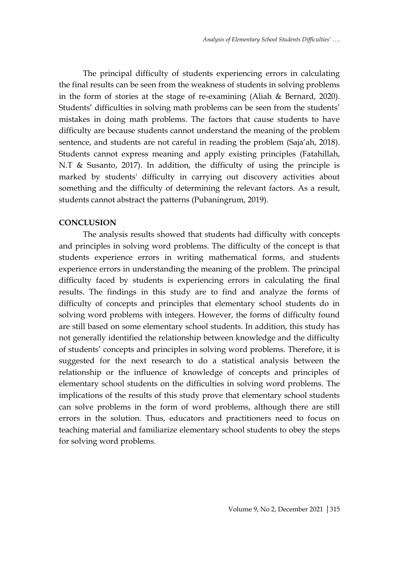The principal difficulty of students experiencing errors in calculating the final results can be seen from the weakness of students in solving problems in the form of stories at the stage of re-examining (Aliah & Bernard, 2020). Students' difficulties in solving math problems can be seen from the students' mistakes in doing math problems. The factors that cause students to have difficulty are because students cannot understand the meaning of the problem sentence, and students are not careful in reading the problem (Saja'ah, 2018). Students cannot express meaning and apply existing principles (Fatahillah, N.T & Susanto, 2017). In addition, the difficulty of using the principle is marked by students' difficulty in carrying out discovery activities about something and the difficulty of determining the relevant factors. As a result, students cannot abstract the patterns (Pubaningrum, 2019).

#### **CONCLUSION**

The analysis results showed that students had difficulty with concepts and principles in solving word problems. The difficulty of the concept is that students experience errors in writing mathematical forms, and students experience errors in understanding the meaning of the problem. The principal difficulty faced by students is experiencing errors in calculating the final results. The findings in this study are to find and analyze the forms of difficulty of concepts and principles that elementary school students do in solving word problems with integers. However, the forms of difficulty found are still based on some elementary school students. In addition, this study has not generally identified the relationship between knowledge and the difficulty of students' concepts and principles in solving word problems. Therefore, it is suggested for the next research to do a statistical analysis between the relationship or the influence of knowledge of concepts and principles of elementary school students on the difficulties in solving word problems. The implications of the results of this study prove that elementary school students can solve problems in the form of word problems, although there are still errors in the solution. Thus, educators and practitioners need to focus on teaching material and familiarize elementary school students to obey the steps for solving word problems.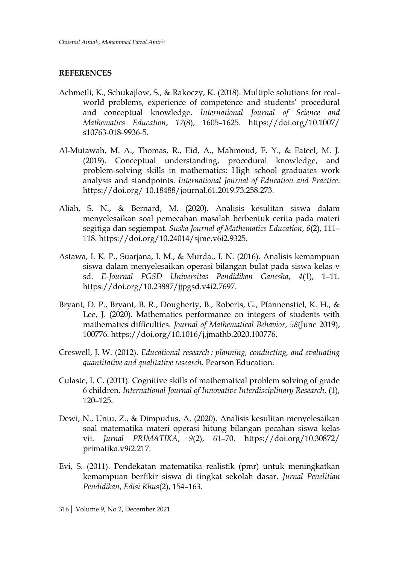#### **REFERENCES**

- Achmetli, K., Schukajlow, S., & Rakoczy, K. (2018). Multiple solutions for realworld problems, experience of competence and students' procedural and conceptual knowledge. *International Journal of Science and Mathematics Education*, *17*(8), 1605–1625. https://doi.org/10.1007/ s10763-018-9936-5.
- Al-Mutawah, M. A., Thomas, R., Eid, A., Mahmoud, E. Y., & Fateel, M. J. (2019). Conceptual understanding, procedural knowledge, and problem-solving skills in mathematics: High school graduates work analysis and standpoints. *International Journal of Education and Practice*. https://doi.org/ 10.18488/journal.61.2019.73.258.273.
- Aliah, S. N., & Bernard, M. (2020). Analisis kesulitan siswa dalam menyelesaikan soal pemecahan masalah berbentuk cerita pada materi segitiga dan segiempat. *Suska Journal of Mathematics Education*, *6*(2), 111– 118. https://doi.org/10.24014/sjme.v6i2.9325.
- Astawa, I. K. P., Suarjana, I. M., & Murda., I. N. (2016). Analisis kemampuan siswa dalam menyelesaikan operasi bilangan bulat pada siswa kelas v sd. *E-Journal PGSD Universitas Pendidikan Ganesha*, *4*(1), 1–11. https://doi.org/10.23887/jjpgsd.v4i2.7697.
- Bryant, D. P., Bryant, B. R., Dougherty, B., Roberts, G., Pfannenstiel, K. H., & Lee, J. (2020). Mathematics performance on integers of students with mathematics difficulties. *Journal of Mathematical Behavior*, *58*(June 2019), 100776. https://doi.org/10.1016/j.jmathb.2020.100776.
- Creswell, J. W. (2012). *Educational research : planning, conducting, and evaluating quantitative and qualitative research*. Pearson Education.
- Culaste, I. C. (2011). Cognitive skills of mathematical problem solving of grade 6 children. *International Journal of Innovative Interdisciplinary Research*, (1), 120–125.
- Dewi, N., Untu, Z., & Dimpudus, A. (2020). Analisis kesulitan menyelesaikan soal matematika materi operasi hitung bilangan pecahan siswa kelas vii. *Jurnal PRIMATIKA*, *9*(2), 61–70. https://doi.org/10.30872/ primatika.v9i2.217.
- Evi, S. (2011). Pendekatan matematika realistik (pmr) untuk meningkatkan kemampuan berfikir siswa di tingkat sekolah dasar. *Jurnal Penelitian Pendidikan*, *Edisi Khus*(2), 154–163.
- 316| Volume 9, No 2, December 2021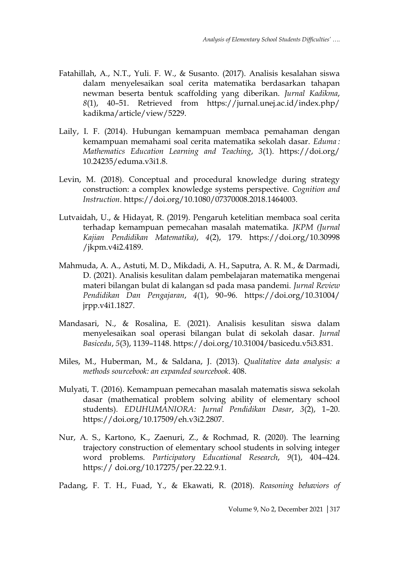- Fatahillah, A., N.T., Yuli. F. W., & Susanto. (2017). Analisis kesalahan siswa dalam menyelesaikan soal cerita matematika berdasarkan tahapan newman beserta bentuk scaffolding yang diberikan. *Jurnal Kadikma*, *8*(1), 40–51. Retrieved from https://jurnal.unej.ac.id/index.php/ kadikma/article/view/5229.
- Laily, I. F. (2014). Hubungan kemampuan membaca pemahaman dengan kemampuan memahami soal cerita matematika sekolah dasar. *Eduma : Mathematics Education Learning and Teaching*, *3*(1). https://doi.org/ 10.24235/eduma.v3i1.8.
- Levin, M. (2018). Conceptual and procedural knowledge during strategy construction: a complex knowledge systems perspective. *Cognition and Instruction*. https://doi.org/10.1080/07370008.2018.1464003.
- Lutvaidah, U., & Hidayat, R. (2019). Pengaruh ketelitian membaca soal cerita terhadap kemampuan pemecahan masalah matematika. *JKPM (Jurnal Kajian Pendidikan Matematika)*, *4*(2), 179. https://doi.org/10.30998 /jkpm.v4i2.4189.
- Mahmuda, A. A., Astuti, M. D., Mikdadi, A. H., Saputra, A. R. M., & Darmadi, D. (2021). Analisis kesulitan dalam pembelajaran matematika mengenai materi bilangan bulat di kalangan sd pada masa pandemi. *Jurnal Review Pendidikan Dan Pengajaran*, *4*(1), 90–96. https://doi.org/10.31004/ jrpp.v4i1.1827.
- Mandasari, N., & Rosalina, E. (2021). Analisis kesulitan siswa dalam menyelesaikan soal operasi bilangan bulat di sekolah dasar. *Jurnal Basicedu*, *5*(3), 1139–1148. https://doi.org/10.31004/basicedu.v5i3.831.
- Miles, M., Huberman, M., & Saldana, J. (2013). *Qualitative data analysis: a methods sourcebook: an expanded sourcebook*. 408.
- Mulyati, T. (2016). Kemampuan pemecahan masalah matematis siswa sekolah dasar (mathematical problem solving ability of elementary school students). *EDUHUMANIORA: Jurnal Pendidikan Dasar*, *3*(2), 1–20. https://doi.org/10.17509/eh.v3i2.2807.
- Nur, A. S., Kartono, K., Zaenuri, Z., & Rochmad, R. (2020). The learning trajectory construction of elementary school students in solving integer word problems. *Participatory Educational Research*, *9*(1), 404–424. https:// doi.org/10.17275/per.22.22.9.1.

Padang, F. T. H., Fuad, Y., & Ekawati, R. (2018). *Reasoning behaviors of*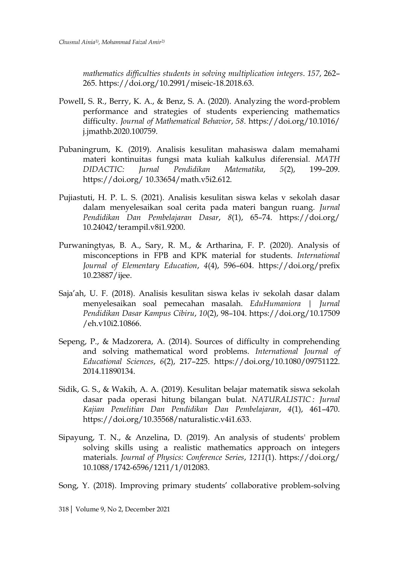*mathematics difficulties students in solving multiplication integers*. *157*, 262– 265. https://doi.org/10.2991/miseic-18.2018.63.

- PowelI, S. R., Berry, K. A., & Benz, S. A. (2020). Analyzing the word-problem performance and strategies of students experiencing mathematics difficulty. *Journal of Mathematical Behavior*, *58*. https://doi.org/10.1016/ j.jmathb.2020.100759.
- Pubaningrum, K. (2019). Analisis kesulitan mahasiswa dalam memahami materi kontinuitas fungsi mata kuliah kalkulus diferensial. *MATH DIDACTIC: Jurnal Pendidikan Matematika*, *5*(2), 199–209. https://doi.org/ 10.33654/math.v5i2.612.
- Pujiastuti, H. P. L. S. (2021). Analisis kesulitan siswa kelas v sekolah dasar dalam menyelesaikan soal cerita pada materi bangun ruang. *Jurnal Pendidikan Dan Pembelajaran Dasar*, *8*(1), 65–74. https://doi.org/ 10.24042/terampil.v8i1.9200.
- Purwaningtyas, B. A., Sary, R. M., & Artharina, F. P. (2020). Analysis of misconceptions in FPB and KPK material for students. *International Journal of Elementary Education*, *4*(4), 596–604. https://doi.org/prefix 10.23887/ijee.
- Saja'ah, U. F. (2018). Analisis kesulitan siswa kelas iv sekolah dasar dalam menyelesaikan soal pemecahan masalah. *EduHumaniora | Jurnal Pendidikan Dasar Kampus Cibiru*, *10*(2), 98–104. https://doi.org/10.17509 /eh.v10i2.10866.
- Sepeng, P., & Madzorera, A. (2014). Sources of difficulty in comprehending and solving mathematical word problems. *International Journal of Educational Sciences*, *6*(2), 217–225. https://doi.org/10.1080/09751122. 2014.11890134.
- Sidik, G. S., & Wakih, A. A. (2019). Kesulitan belajar matematik siswa sekolah dasar pada operasi hitung bilangan bulat. *NATURALISTIC : Jurnal Kajian Penelitian Dan Pendidikan Dan Pembelajaran*, *4*(1), 461–470. https://doi.org/10.35568/naturalistic.v4i1.633.
- Sipayung, T. N., & Anzelina, D. (2019). An analysis of students' problem solving skills using a realistic mathematics approach on integers materials. *Journal of Physics: Conference Series*, *1211*(1). https://doi.org/ 10.1088/1742-6596/1211/1/012083.

Song, Y. (2018). Improving primary students' collaborative problem-solving